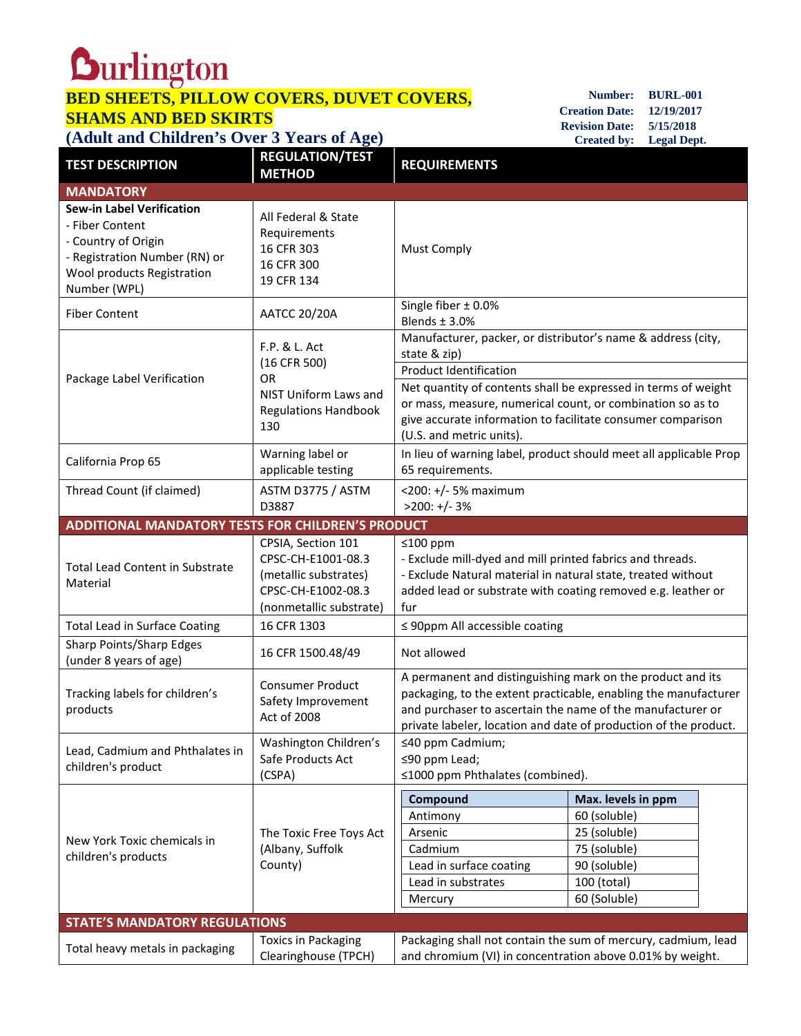## **BED SHEETS, PILLOW COVERS, DUVET COVERS, SHAMS AND BED SKIRTS (Adult and Children's Over 3 Years of Age)**

**Number: BURL-001 Creation Date: 12/19/2017 Revision Date: 5/15/2018 Created by: Legal Dept.**

| <b>TEST DESCRIPTION</b>                                                                                                                                   | <b>REGULATION/TEST</b><br><b>METHOD</b>                                                                            | <b>REQUIREMENTS</b>                                                                                                                                                                                                                                                                                                                      |                                                                                             |  |  |
|-----------------------------------------------------------------------------------------------------------------------------------------------------------|--------------------------------------------------------------------------------------------------------------------|------------------------------------------------------------------------------------------------------------------------------------------------------------------------------------------------------------------------------------------------------------------------------------------------------------------------------------------|---------------------------------------------------------------------------------------------|--|--|
| <b>MANDATORY</b>                                                                                                                                          |                                                                                                                    |                                                                                                                                                                                                                                                                                                                                          |                                                                                             |  |  |
| <b>Sew-in Label Verification</b><br>- Fiber Content<br>- Country of Origin<br>- Registration Number (RN) or<br>Wool products Registration<br>Number (WPL) | All Federal & State<br>Requirements<br>16 CFR 303<br>16 CFR 300<br>19 CFR 134                                      | <b>Must Comply</b>                                                                                                                                                                                                                                                                                                                       |                                                                                             |  |  |
| <b>Fiber Content</b>                                                                                                                                      | <b>AATCC 20/20A</b>                                                                                                | Single fiber ± 0.0%<br>Blends $±$ 3.0%                                                                                                                                                                                                                                                                                                   |                                                                                             |  |  |
| Package Label Verification                                                                                                                                | F.P. & L. Act<br>(16 CFR 500)<br><b>OR</b><br>NIST Uniform Laws and<br><b>Regulations Handbook</b><br>130          | Manufacturer, packer, or distributor's name & address (city,<br>state & zip)<br><b>Product Identification</b><br>Net quantity of contents shall be expressed in terms of weight<br>or mass, measure, numerical count, or combination so as to<br>give accurate information to facilitate consumer comparison<br>(U.S. and metric units). |                                                                                             |  |  |
| California Prop 65                                                                                                                                        | Warning label or<br>applicable testing                                                                             | In lieu of warning label, product should meet all applicable Prop<br>65 requirements.                                                                                                                                                                                                                                                    |                                                                                             |  |  |
| Thread Count (if claimed)                                                                                                                                 | ASTM D3775 / ASTM<br>D3887                                                                                         | <200: +/- 5% maximum<br>$>200: +/- 3%$                                                                                                                                                                                                                                                                                                   |                                                                                             |  |  |
| <b>ADDITIONAL MANDATORY TESTS FOR CHILDREN'S PRODUCT</b>                                                                                                  |                                                                                                                    |                                                                                                                                                                                                                                                                                                                                          |                                                                                             |  |  |
| <b>Total Lead Content in Substrate</b><br>Material                                                                                                        | CPSIA, Section 101<br>CPSC-CH-E1001-08.3<br>(metallic substrates)<br>CPSC-CH-E1002-08.3<br>(nonmetallic substrate) | $≤100$ ppm<br>- Exclude mill-dyed and mill printed fabrics and threads.<br>- Exclude Natural material in natural state, treated without<br>added lead or substrate with coating removed e.g. leather or<br>fur                                                                                                                           |                                                                                             |  |  |
| <b>Total Lead in Surface Coating</b>                                                                                                                      | 16 CFR 1303                                                                                                        | $\leq$ 90ppm All accessible coating                                                                                                                                                                                                                                                                                                      |                                                                                             |  |  |
| Sharp Points/Sharp Edges<br>(under 8 years of age)                                                                                                        | 16 CFR 1500.48/49                                                                                                  | Not allowed                                                                                                                                                                                                                                                                                                                              |                                                                                             |  |  |
| Tracking labels for children's<br>products                                                                                                                | <b>Consumer Product</b><br>Safety Improvement<br>Act of 2008                                                       | A permanent and distinguishing mark on the product and its<br>packaging, to the extent practicable, enabling the manufacturer<br>and purchaser to ascertain the name of the manufacturer or<br>private labeler, location and date of production of the product.                                                                          |                                                                                             |  |  |
| Lead, Cadmium and Phthalates in<br>children's product                                                                                                     | Washington Children's<br>Safe Products Act<br>(CSPA)                                                               | ≤40 ppm Cadmium;<br>≤90 ppm Lead;<br>≤1000 ppm Phthalates (combined).                                                                                                                                                                                                                                                                    |                                                                                             |  |  |
| New York Toxic chemicals in<br>children's products                                                                                                        | The Toxic Free Toys Act<br>(Albany, Suffolk<br>County)                                                             | Compound                                                                                                                                                                                                                                                                                                                                 | Max. levels in ppm                                                                          |  |  |
|                                                                                                                                                           |                                                                                                                    | Antimony<br>Arsenic<br>Cadmium<br>Lead in surface coating<br>Lead in substrates<br>Mercury                                                                                                                                                                                                                                               | 60 (soluble)<br>25 (soluble)<br>75 (soluble)<br>90 (soluble)<br>100 (total)<br>60 (Soluble) |  |  |
| <b>STATE'S MANDATORY REGULATIONS</b>                                                                                                                      |                                                                                                                    |                                                                                                                                                                                                                                                                                                                                          |                                                                                             |  |  |
| Total heavy metals in packaging                                                                                                                           | <b>Toxics in Packaging</b><br>Clearinghouse (TPCH)                                                                 | Packaging shall not contain the sum of mercury, cadmium, lead<br>and chromium (VI) in concentration above 0.01% by weight.                                                                                                                                                                                                               |                                                                                             |  |  |